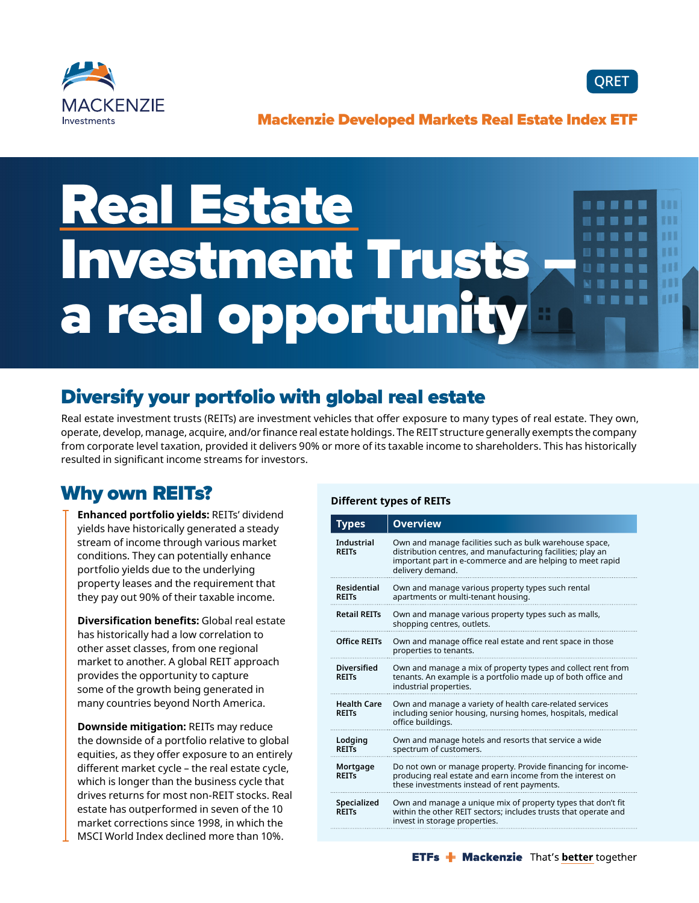



### Mackenzie Developed Markets Real Estate Index ETF

### Real Estate .... **EBR** m Investment Trusts 111 m m a real opportunity m

# Diversify your portfolio with global real estate

Real estate investment trusts (REITs) are investment vehicles that offer exposure to many types of real estate. They own, operate, develop, manage, acquire, and/or finance real estate holdings. The REIT structure generally exempts the company from corporate level taxation, provided it delivers 90% or more of its taxable income to shareholders. This has historically resulted in significant income streams for investors.

## Why own REITs?

**Enhanced portfolio yields:** REITs' dividend yields have historically generated a steady stream of income through various market conditions. They can potentially enhance portfolio yields due to the underlying property leases and the requirement that they pay out 90% of their taxable income.

**Diversification benefits:** Global real estate has historically had a low correlation to other asset classes, from one regional market to another. A global REIT approach provides the opportunity to capture some of the growth being generated in many countries beyond North America.

**Downside mitigation:** REITs may reduce the downside of a portfolio relative to global equities, as they offer exposure to an entirely different market cycle – the real estate cycle, which is longer than the business cycle that drives returns for most non-REIT stocks. Real estate has outperformed in seven of the 10 market corrections since 1998, in which the MSCI World Index declined more than 10%.

#### **Different types of REITs**

| Types                              | <b>Overview</b>                                                                                                                                                                                          |
|------------------------------------|----------------------------------------------------------------------------------------------------------------------------------------------------------------------------------------------------------|
| <b>Industrial</b><br><b>RFITs</b>  | Own and manage facilities such as bulk warehouse space,<br>distribution centres, and manufacturing facilities; play an<br>important part in e-commerce and are helping to meet rapid<br>delivery demand. |
| <b>Residential</b><br><b>REITS</b> | Own and manage various property types such rental<br>apartments or multi-tenant housing.                                                                                                                 |
| <b>Retail REITs</b>                | Own and manage various property types such as malls,<br>shopping centres, outlets.                                                                                                                       |
| <b>Office REITs</b>                | Own and manage office real estate and rent space in those<br>properties to tenants.                                                                                                                      |
| <b>Diversified</b><br><b>REITS</b> | Own and manage a mix of property types and collect rent from<br>tenants. An example is a portfolio made up of both office and<br>industrial properties.                                                  |
| <b>Health Care</b><br><b>REITs</b> | Own and manage a variety of health care-related services<br>including senior housing, nursing homes, hospitals, medical<br>office buildings.                                                             |
| Lodging<br><b>REITS</b>            | Own and manage hotels and resorts that service a wide<br>spectrum of customers.                                                                                                                          |
| Mortgage<br><b>REITs</b>           | Do not own or manage property. Provide financing for income-<br>producing real estate and earn income from the interest on<br>these investments instead of rent payments.                                |
| Specialized<br><b>RFITs</b>        | Own and manage a unique mix of property types that don't fit<br>within the other REIT sectors; includes trusts that operate and<br>invest in storage properties.                                         |